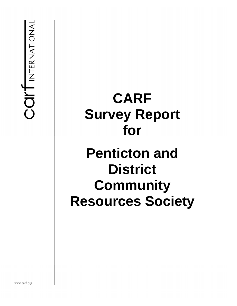COIT INTERNATIONAL

# **CARF Survey Report for Penticton and District Community Resources Society**

www.carf.org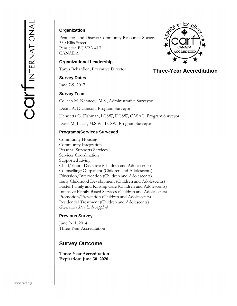# **Organization**

Penticton and District Community Resources Society 330 Ellis Street Penticton BC V2A 4L7 CANADA

**Organizational Leadership** 

Tanya Behardien, Executive Director

#### **Survey Dates**

June 7-9, 2017

#### **Survey Team**

Colleen M. Kennedy, M.S., Administrative Surveyor Debra A. Dickinson, Program Surveyor Henrietta G. Fishman, LCSW, DCSW, CASAC, Program Surveyor Doris M. Lucas, M.S.W., LCSW, Program Surveyor

#### **Programs/Services Surveyed**

Community Housing Community Integration Personal Supports Services Services Coordination Supported Living Child/Youth Day Care (Children and Adolescents) Counselling/Outpatient (Children and Adolescents) Diversion/Intervention (Children and Adolescents) Early Childhood Development (Children and Adolescents) Foster Family and Kinship Care (Children and Adolescents) Intensive Family-Based Services (Children and Adolescents) Promotion/Prevention (Children and Adolescents) Residential Treatment (Children and Adolescents) *Governance Standards Applied*

#### **Previous Survey**

June 9-11, 2014 Three-Year Accreditation

# **Survey Outcome**

**Three-Year Accreditation Expiration: June 30, 2020** 



# **Three-Year Accreditation Three-Year Accreditation**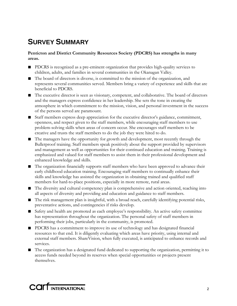# **SURVEY SUMMARY**

# **Penticton and District Community Resources Society (PDCRS) has strengths in many areas.**

- PDCRS is recognized as a pre-eminent organization that provides high-quality services to children, adults, and families in several communities in the Okanagan Valley.
- The board of directors is diverse, is committed to the mission of the organization, and represents several communities served. Members bring a variety of experience and skills that are beneficial to PDCRS.
- The executive director is seen as visionary, competent, and collaborative. The board of directors and the managers express confidence in her leadership. She sets the tone in creating the atmosphere in which commitment to the mission, vision, and personal investment in the success of the persons served are paramount.
- Staff members express deep appreciation for the executive director's guidance, commitment, openness, and respect given to the staff members, while encouraging staff members to use problem-solving skills when areas of concern occur. She encourages staff members to be creative and trusts the staff members to do the job they were hired to do.
- The managers have the opportunity for growth and development, most recently through the Bulletproof training. Staff members speak positively about the support provided by supervisors and management as well as opportunities for their continued education and training. Training is emphasized and valued for staff members to assist them in their professional development and enhanced knowledge and skills.
- The organization financially supports staff members who have been approved to advance their early childhood education training. Encouraging staff members to continually enhance their skills and knowledge has assisted the organization in obtaining trained and qualified staff members for hard-to-place positions, especially in more remote, rural areas.
- The diversity and cultural competency plan is comprehensive and action oriented, reaching into all aspects of diversity and providing and education and guidance to staff members.
- The risk management plan is insightful, with a broad reach, carefully identifying potential risks, preventative actions, and contingencies if risks develop.
- Safety and health are promoted as each employee's responsibility. An active safety committee has representation throughout the organization. The personal safety of staff members in performing their jobs, particularly in the community, is promoted.
- PDCRS has a commitment to improve its use of technology and has designated financial resources to that end. It is diligently evaluating which areas have priority, using internal and external staff members. ShareVision, when fully executed, is anticipated to enhance records and services.
- The organization has a designated fund dedicated to supporting the organization, permitting it to access funds needed beyond its reserves when special opportunities or projects present themselves.

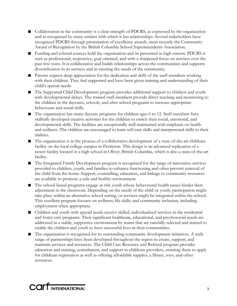- Collaboration in the community is a clear strength of PDCRS, as expressed by the organization and as recognized by many entities with which it has relationships. Several stakeholders have recognized PDCRS through presentation of excellence awards, most recently the Community Award of Recognition by the British Columbia School Superintendents Association.
- Funding and referral sources hold the organization and its personnel in high esteem. PDCRS is seen as professional, responsive, goal oriented, and with a sharpened focus on services over the past few years. It is collaborative and builds relationships across the communities and supports diversification in its services and in meeting the needs of the community.
- Parents express deep appreciation for the dedication and skills of the staff members working with their children. They feel supported and have been given training and understanding of their child's special needs.
- The Supported Child Development program provides additional support to children and youth with developmental delays. The trained staff members provide direct teaching and monitoring to the children in the daycares, schools, and after-school programs to increase appropriate behaviours and social skills.
- The organization has many daycare programs for children ages 0 to 12. Staff members have skillfully developed creative activities for the children to enrich their social, emotional, and developmental skills. The facilities are exceptionally well maintained with emphasis on health and wellness. The children are encouraged to learn self-care skills and interpersonal skills to their abilities.
- The organization is in the process of a collaborative development of a state-of-the-art childcare facility on the local college campus in Penticton. This design is an advanced replication of a newer facility located in a high school in Oliver, British Columbia, which is also a state-of-the-art facility.
- The Integrated Family Development program is recognized for the range of innovative services provided to children, youth, and families to enhance functioning and often prevent removal of the child from the home. Support, counselling, education, and linkage to community resources are available to promote a safe and healthy environment.
- The school-based programs engage at-risk youth whose behavioural health issues hinder their adjustment in the classroom. Depending on the needs of the child or youth, participation might take place within an alternative school setting, or services might be integrated within the school. This excellent program focuses on wellness; life skills; and community inclusion, including employment when appropriate.
- Children and youth with special needs receive skilled, individualized services in the residential and foster care programs. Their significant healthcare, educational, and psychosocial needs are addressed in a stable, supportive environment by teams that are carefully selected and trained to enable the children and youth to have successful lives in their communities.
- The organization is recognized for its outstanding community development initiatives. A wide range of partnerships have been developed throughout the region to create, support, and maintain services and resources. The Child Care Resource and Referral program provides education and training, consultation, and support to childcare providers, assisting them to apply for childcare registration as well as offering affordable supplies, a library, toys, and other resources.

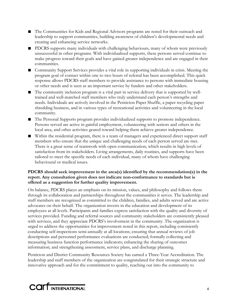- The Communities for Kids and Regional Advisors programs are noted for their outreach and leadership to support communities, building awareness of children's developmental needs and creating and enhancing service networks.
- PDCRS supports many individuals with challenging behaviours, many of whom were previously unsuccessful in other programs. With individualized supports, these persons served continue to make progress toward their goals and have gained greater independence and are engaged in their communities.
- Community Support Services provides a vital role in supporting individuals in crisis. Meeting the program goal of contact within one to two hours of referral has been accomplished. This quick response allows PDCRS staff members to provide assistance to persons with immediate housing or other needs and is seen as an important service by funders and other stakeholders.
- The community inclusion program is a vital part in service delivery that is supported by welltrained and well-matched staff members who truly understand each person's strengths and needs. Individuals are actively involved in the Penticton Paper Shuffle, a paper recycling paper shredding business, and in various types of recreational activities and volunteering in the local community.
- The Personal Supports program provides individualized supports to promote independence. Persons served are active in gainful employment, volunteering with seniors and others in the local area, and other activities geared toward helping them achieve greater independence.
- Within the residential program, there is a team of managers and experienced direct support staff members who ensure that the unique and challenging needs of each person served are met. There is a great sense of teamwork with open communication, which results in high levels of satisfaction from its stakeholders. Living arrangements, daily routines, and supports have been tailored to meet the specific needs of each individual, many of whom have challenging behavioural or medical issues.

# **PDCRS should seek improvement in the area(s) identified by the recommendation(s) in the report. Any consultation given does not indicate non-conformance to standards but is offered as a suggestion for further quality improvement.**

On balance, PDCRS places an emphasis on its mission, values, and philosophy and follows them through its collaboration and partnerships throughout the communities it serves. The leadership and staff members are recognized as committed to the children, families, and adults served and are active advocates on their behalf. The organization invests in the education and development of its employees at all levels. Participants and families express satisfaction with the quality and diversity of services provided. Funding and referral sources and community stakeholders are consistently pleased with services, and they appreciate PDCRS's involvement in the community. The organization is urged to address the opportunities for improvement noted in this report, including consistently conducting self-inspections semi-annually at all locations; ensuring that annual reviews of job descriptions and personnel performance evaluations are conducted; formally collecting and measuring business function performance indicators; enhancing the sharing of outcomes information; and strengthening assessment, service plans, and discharge planning.

Penticton and District Community Resources Society has earned a Three-Year Accreditation. The leadership and staff members of the organization are congratulated for their strategic structure and innovative approach and for the commitment to quality, reaching out into the community to

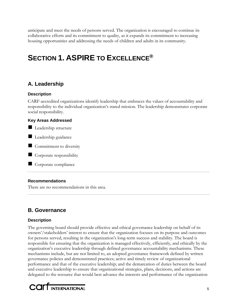anticipate and meet the needs of persons served. The organization is encouraged to continue its collaborative efforts and its commitment to quality, as it expands its commitment to increasing housing opportunities and addressing the needs of children and adults in its community.

# **SECTION 1. ASPIRE TO EXCELLENCE®**

# **A. Leadership**

# **Description**

CARF-accredited organizations identify leadership that embraces the values of accountability and responsibility to the individual organization's stated mission. The leadership demonstrates corporate social responsibility.

# **Key Areas Addressed**

- Leadership structure
- Leadership guidance
- Commitment to diversity
- Corporate responsibility
- Corporate compliance

# **Recommendations**

There are no recommendations in this area.

# **B. Governance**

# **Description**

The governing board should provide effective and ethical governance leadership on behalf of its owners'/stakeholders' interest to ensure that the organization focuses on its purpose and outcomes for persons served, resulting in the organization's long-term success and stability. The board is responsible for ensuring that the organization is managed effectively, efficiently, and ethically by the organization's executive leadership through defined governance accountability mechanisms. These mechanisms include, but are not limited to, an adopted governance framework defined by written governance policies and demonstrated practices; active and timely review of organizational performance and that of the executive leadership; and the demarcation of duties between the board and executive leadership to ensure that organizational strategies, plans, decisions, and actions are delegated to the resource that would best advance the interests and performance of the organization

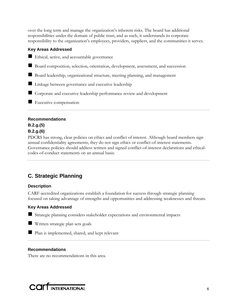over the long term and manage the organization's inherent risks. The board has additional responsibilities under the domain of public trust, and as such, it understands its corporate responsibility to the organization's employees, providers, suppliers, and the communities it serves.

# **Key Areas Addressed**

- Ethical, active, and accountable governance
- Board composition, selection, orientation, development, assessment, and succession
- Board leadership, organizational structure, meeting planning, and management
- **Linkage between governance and executive leadership**
- Corporate and executive leadership performance review and development
- Executive compensation

# **Recommendations**

# **B.2.g.(5) B.2.g.(6)**

PDCRS has strong, clear policies on ethics and conflict of interest. Although board members sign annual confidentiality agreements, they do not sign ethics or conflict-of-interest statements. Governance policies should address written and signed conflict-of-interest declarations and ethicalcodes-of-conduct statements on an annual basis.

# **C. Strategic Planning**

# **Description**

CARF-accredited organizations establish a foundation for success through strategic planning focused on taking advantage of strengths and opportunities and addressing weaknesses and threats.

# **Key Areas Addressed**

Strategic planning considers stakeholder expectations and environmental impacts

Written strategic plan sets goals

**Plan is implemented, shared, and kept relevant** 

# **Recommendations**

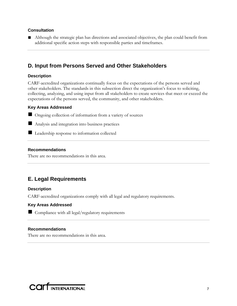# **Consultation**

■ Although the strategic plan has directions and associated objectives, the plan could benefit from additional specific action steps with responsible parties and timeframes.

# **D. Input from Persons Served and Other Stakeholders**

# **Description**

CARF-accredited organizations continually focus on the expectations of the persons served and other stakeholders. The standards in this subsection direct the organization's focus to soliciting, collecting, analyzing, and using input from all stakeholders to create services that meet or exceed the expectations of the persons served, the community, and other stakeholders.

# **Key Areas Addressed**

■ Ongoing collection of information from a variety of sources

Analysis and integration into business practices

**Leadership response to information collected** 

# **Recommendations**

There are no recommendations in this area.

# **E. Legal Requirements**

# **Description**

CARF-accredited organizations comply with all legal and regulatory requirements.

# **Key Areas Addressed**

Compliance with all legal/regulatory requirements

# **Recommendations**

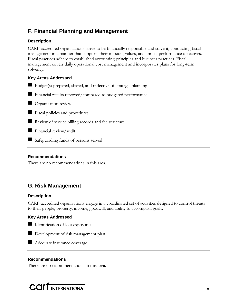# **F. Financial Planning and Management**

# **Description**

CARF-accredited organizations strive to be financially responsible and solvent, conducting fiscal management in a manner that supports their mission, values, and annual performance objectives. Fiscal practices adhere to established accounting principles and business practices. Fiscal management covers daily operational cost management and incorporates plans for long-term solvency.

# **Key Areas Addressed**

- Budget(s) prepared, shared, and reflective of strategic planning
- Financial results reported/compared to budgeted performance
- **Organization review**
- **Fiscal policies and procedures**
- Review of service billing records and fee structure
- **Financial review/audit**
- Safeguarding funds of persons served

# **Recommendations**

There are no recommendations in this area.

# **G. Risk Management**

# **Description**

CARF-accredited organizations engage in a coordinated set of activities designed to control threats to their people, property, income, goodwill, and ability to accomplish goals.

# **Key Areas Addressed**

Identification of loss exposures



Development of risk management plan

Adequate insurance coverage

# **Recommendations**

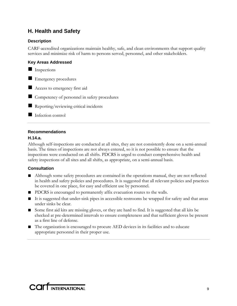# **H. Health and Safety**

# **Description**

CARF-accredited organizations maintain healthy, safe, and clean environments that support quality services and minimize risk of harm to persons served, personnel, and other stakeholders.

# **Key Areas Addressed**

 $\blacksquare$  Inspections

Emergency procedures

Access to emergency first aid

Competency of personnel in safety procedures

Reporting/reviewing critical incidents

# Infection control

# **Recommendations**

# **H.14.a.**

Although self-inspections are conducted at all sites, they are not consistently done on a semi-annual basis. The times of inspections are not always entered, so it is not possible to ensure that the inspections were conducted on all shifts. PDCRS is urged to conduct comprehensive health and safety inspections of all sites and all shifts, as appropriate, on a semi-annual basis.

# **Consultation**

- Although some safety procedures are contained in the operations manual, they are not reflected in health and safety policies and procedures. It is suggested that all relevant policies and practices be covered in one place, for easy and efficient use by personnel.
- PDCRS is encouraged to permanently affix evacuation routes to the walls.
- It is suggested that under-sink pipes in accessible restrooms be wrapped for safety and that areas under sinks be clear.
- Some first aid kits are missing gloves, or they are hard to find. It is suggested that all kits be checked at pre-determined intervals to ensure completeness and that sufficient gloves be present as a first line of defense.
- The organization is encouraged to procure AED devices in its facilities and to educate appropriate personnel in their proper use.

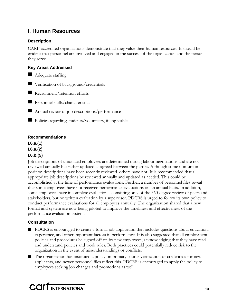# **I. Human Resources**

# **Description**

CARF-accredited organizations demonstrate that they value their human resources. It should be evident that personnel are involved and engaged in the success of the organization and the persons they serve.

# **Key Areas Addressed**

Adequate staffing

■ Verification of background/credentials

Recruitment/retention efforts

**Personnel skills/characteristics** 

Annual review of job descriptions/performance

■ Policies regarding students/volunteers, if applicable

# **Recommendations**

**I.6.a.(1) I.6.a.(2) I.6.b.(5)** 

Job descriptions of unionized employees are determined during labour negotiations and are not reviewed annually but rather updated as agreed between the parties. Although some non-union position descriptions have been recently reviewed, others have not. It is recommended that all appropriate job descriptions be reviewed annually and updated as needed. This could be accomplished at the time of performance evaluations. Further, a number of personnel files reveal that some employees have not received performance evaluations on an annual basis. In addition, some employees have incomplete evaluations, consisting only of the 360-degree review of peers and stakeholders, but no written evaluation by a supervisor. PDCRS is urged to follow its own policy to conduct performance evaluations for all employees annually. The organization shared that a new format and system are now being piloted to improve the timeliness and effectiveness of the performance evaluation system.

# **Consultation**

- PDCRS is encouraged to create a formal job application that includes questions about education, experience, and other important factors in performance. It is also suggested that all employment policies and procedures be signed off on by new employees, acknowledging that they have read and understand policies and work rules. Both practices could potentially reduce risk to the organization in the event of misunderstandings or conflicts.
- The organization has instituted a policy on primary source verification of credentials for new applicants, and newer personnel files reflect this. PDCRS is encouraged to apply the policy to employees seeking job changes and promotions as well.

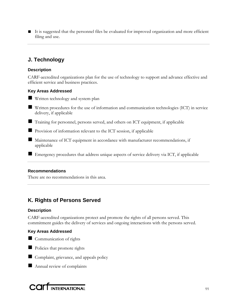■ It is suggested that the personnel files be evaluated for improved organization and more efficient filing and use.

# **J. Technology**

# **Description**

CARF-accredited organizations plan for the use of technology to support and advance effective and efficient service and business practices.

# **Key Areas Addressed**

- **Written technology and system plan**
- Written procedures for the use of information and communication technologies (ICT) in service delivery, if applicable
- Training for personnel, persons served, and others on ICT equipment, if applicable
- Provision of information relevant to the ICT session, if applicable
- Maintenance of ICT equipment in accordance with manufacturer recommendations, if applicable
- Emergency procedures that address unique aspects of service delivery via ICT, if applicable

# **Recommendations**

There are no recommendations in this area.

# **K. Rights of Persons Served**

#### **Description**

CARF-accredited organizations protect and promote the rights of all persons served. This commitment guides the delivery of services and ongoing interactions with the persons served.

# **Key Areas Addressed**





Complaint, grievance, and appeals policy

Annual review of complaints

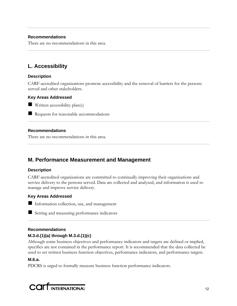# **Recommendations**

There are no recommendations in this area.

# **L. Accessibility**

# **Description**

CARF-accredited organizations promote accessibility and the removal of barriers for the persons served and other stakeholders.

#### **Key Areas Addressed**

 $\blacksquare$  Written accessibility plan(s)

Requests for reasonable accommodations

# **Recommendations**

There are no recommendations in this area.

# **M. Performance Measurement and Management**

# **Description**

CARF-accredited organizations are committed to continually improving their organizations and service delivery to the persons served. Data are collected and analyzed, and information is used to manage and improve service delivery.

# **Key Areas Addressed**

Information collection, use, and management

Setting and measuring performance indicators

# **Recommendations M.3.d.(1)(a) through M.3.d.(1)(c)**

Although some business objectives and performance indicators and targets are defined or implied, specifics are not contained in the performance report. It is recommended that the data collected be used to set written business function objectives, performance indicators, and performance targets.

# **M.6.a.**

PDCRS is urged to formally measure business function performance indicators.

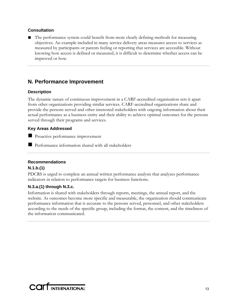# **Consultation**

The performance system could benefit from more clearly defining methods for measuring objectives. An example included in many service delivery areas measures access to services as measured by participants or parents feeling or reporting that services are accessible. Without knowing how access is defined or measured, it is difficult to determine whether access can be improved or how.

# **N. Performance Improvement**

# **Description**

The dynamic nature of continuous improvement in a CARF-accredited organization sets it apart from other organizations providing similar services. CARF-accredited organizations share and provide the persons served and other interested stakeholders with ongoing information about their actual performance as a business entity and their ability to achieve optimal outcomes for the persons served through their programs and services.

# **Key Areas Addressed**

**Proactive performance improvement** 

**Performance information shared with all stakeholders** 

# **Recommendations**

# **N.1.b.(1)**

PDCRS is urged to complete an annual written performance analysis that analyzes performance indicators in relation to performance targets for business functions.

# **N.3.a.(1) through N.3.c.**

Information is shared with stakeholders through reports, meetings, the annual report, and the website. As outcomes become more specific and measurable, the organization should communicate performance information that is accurate to the persons served, personnel, and other stakeholders according to the needs of the specific group, including the format, the content, and the timeliness of the information communicated.

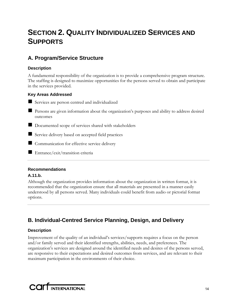# **SECTION 2. QUALITY INDIVIDUALIZED SERVICES AND SUPPORTS**

# **A. Program/Service Structure**

# **Description**

A fundamental responsibility of the organization is to provide a comprehensive program structure. The staffing is designed to maximize opportunities for the persons served to obtain and participate in the services provided.

# **Key Areas Addressed**

- Services are person centred and individualized
- **Persons are given information about the organization's purposes and ability to address desired** outcomes
- Documented scope of services shared with stakeholders
- Service delivery based on accepted field practices
- Communication for effective service delivery
- Entrance/exit/transition criteria

# **Recommendations**

# **A.11.b.**

Although the organization provides information about the organization in written format, it is recommended that the organization ensure that all materials are presented in a manner easily understood by all persons served. Many individuals could benefit from audio or pictorial format options.

# **B. Individual-Centred Service Planning, Design, and Delivery**

# **Description**

Improvement of the quality of an individual's services/supports requires a focus on the person and/or family served and their identified strengths, abilities, needs, and preferences. The organization's services are designed around the identified needs and desires of the persons served, are responsive to their expectations and desired outcomes from services, and are relevant to their maximum participation in the environments of their choice.

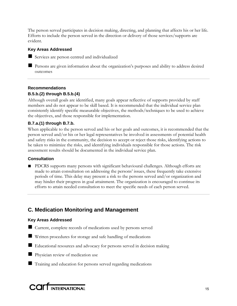The person served participates in decision making, directing, and planning that affects his or her life. Efforts to include the person served in the direction or delivery of those services/supports are evident.

# **Key Areas Addressed**

Services are person centred and individualized

**Persons are given information about the organization's purposes and ability to address desired** outcomes

# **Recommendations B.5.b.(2) through B.5.b.(4)**

Although overall goals are identified, many goals appear reflective of supports provided by staff members and do not appear to be skill based. It is recommended that the individual service plan consistently identify specific measurable objectives, the methods/techniques to be used to achieve the objectives, and those responsible for implementation.

# **B.7.a.(1) through B.7.b.**

When applicable to the person served and his or her goals and outcomes, it is recommended that the person served and/or his or her legal representatives be involved in assessments of potential health and safety risks in the community, the decision to accept or reject those risks, identifying actions to be taken to minimize the risks, and identifying individuals responsible for those actions. The risk assessment results should be documented in the individual service plan.

# **Consultation**

■ PDCRS supports many persons with significant behavioural challenges. Although efforts are made to attain consultation on addressing the persons' issues, these frequently take extensive periods of time. This delay may present a risk to the persons served and/or organization and may hinder their progress in goal attainment. The organization is encouraged to continue its efforts to attain needed consultation to meet the specific needs of each person served.

# **C. Medication Monitoring and Management**

# **Key Areas Addressed**

- Current, complete records of medications used by persons served
- Written procedures for storage and safe handling of medications
- Educational resources and advocacy for persons served in decision making
- **Physician review of medication use**
- Training and education for persons served regarding medications

COLL INTERNATIONAL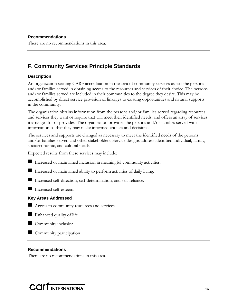# **Recommendations**

There are no recommendations in this area.

# **F. Community Services Principle Standards**

# **Description**

An organization seeking CARF accreditation in the area of community services assists the persons and/or families served in obtaining access to the resources and services of their choice. The persons and/or families served are included in their communities to the degree they desire. This may be accomplished by direct service provision or linkages to existing opportunities and natural supports in the community.

The organization obtains information from the persons and/or families served regarding resources and services they want or require that will meet their identified needs, and offers an array of services it arranges for or provides. The organization provides the persons and/or families served with information so that they may make informed choices and decisions.

The services and supports are changed as necessary to meet the identified needs of the persons and/or families served and other stakeholders. Service designs address identified individual, family, socioeconomic, and cultural needs.

Expected results from these services may include:

Increased or maintained inclusion in meaningful community activities.

Increased or maintained ability to perform activities of daily living.

Increased self-direction, self-determination, and self-reliance.

Increased self-esteem.

# **Key Areas Addressed**

Access to community resources and services

Enhanced quality of life

 $\blacksquare$  Community inclusion

Community participation

#### **Recommendations**

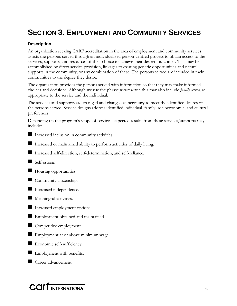# **SECTION 3. EMPLOYMENT AND COMMUNITY SERVICES**

# **Description**

An organization seeking CARF accreditation in the area of employment and community services assists the persons served through an individualized person-centred process to obtain access to the services, supports, and resources of their choice to achieve their desired outcomes. This may be accomplished by direct service provision, linkages to existing generic opportunities and natural supports in the community, or any combination of these. The persons served are included in their communities to the degree they desire.

The organization provides the persons served with information so that they may make informed choices and decisions. Although we use the phrase *person served,* this may also include *family served,* as appropriate to the service and the individual.

The services and supports are arranged and changed as necessary to meet the identified desires of the persons served. Service designs address identified individual, family, socioeconomic, and cultural preferences.

Depending on the program's scope of services, expected results from these services/supports may include:

- Increased inclusion in community activities.
- Increased or maintained ability to perform activities of daily living.
- Increased self-direction, self-determination, and self-reliance.
- Self-esteem.
- Housing opportunities.
- Community citizenship.
- Increased independence.
- **Meaningful activities.**
- Increased employment options.
- Employment obtained and maintained.
- Competitive employment.
- Employment at or above minimum wage.
- Economic self-sufficiency.
- Employment with benefits.
- Career advancement.

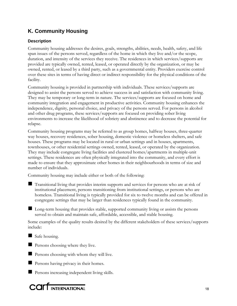# **K. Community Housing**

# **Description**

Community housing addresses the desires, goals, strengths, abilities, needs, health, safety, and life span issues of the persons served, regardless of the home in which they live and/or the scope, duration, and intensity of the services they receive. The residences in which services/supports are provided are typically owned, rented, leased, or operated directly by the organization, or may be owned, rented, or leased by a third party, such as a governmental entity. Providers exercise control over these sites in terms of having direct or indirect responsibility for the physical conditions of the facility.

Community housing is provided in partnership with individuals. These services/supports are designed to assist the persons served to achieve success in and satisfaction with community living. They may be temporary or long-term in nature. The services/supports are focused on home and community integration and engagement in productive activities. Community housing enhances the independence, dignity, personal choice, and privacy of the persons served. For persons in alcohol and other drug programs, these services/supports are focused on providing sober living environments to increase the likelihood of sobriety and abstinence and to decrease the potential for relapse.

Community housing programs may be referred to as group homes, halfway houses, three-quarter way houses, recovery residences, sober housing, domestic violence or homeless shelters, and safe houses. These programs may be located in rural or urban settings and in houses, apartments, townhouses, or other residential settings owned, rented, leased, or operated by the organization. They may include congregate living facilities and clustered homes/apartments in multiple-unit settings. These residences are often physically integrated into the community, and every effort is made to ensure that they approximate other homes in their neighbourhoods in terms of size and number of individuals.

Community housing may include either or both of the following:

- Transitional living that provides interim supports and services for persons who are at risk of institutional placement, persons transitioning from institutional settings, or persons who are homeless. Transitional living is typically provided for six to twelve months and can be offered in congregate settings that may be larger than residences typically found in the community.
- Long-term housing that provides stable, supported community living or assists the persons served to obtain and maintain safe, affordable, accessible, and stable housing.

Some examples of the quality results desired by the different stakeholders of these services/supports include:

Safe housing.

**Persons choosing where they live.** 

- **Persons choosing with whom they will live.**
- **Persons having privacy in their homes.**
- **Persons increasing independent living skills.**

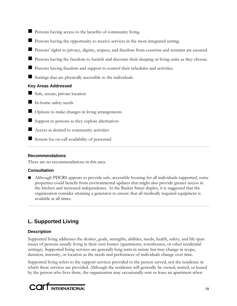- Persons having access to the benefits of community living.
- Persons having the opportunity to receive services in the most integrated setting.
- **Persons'** rights to privacy, dignity, respect, and freedom from coercion and restraint are ensured.
- **Persons having the freedom to furnish and decorate their sleeping or living units as they choose.**
- **Persons having freedom and support to control their schedules and activities.**
- Settings that are physically accessible to the individuals.

# **Key Areas Addressed**

- Safe, secure, private location
- In-home safety needs
- Options to make changes in living arrangements
- $\blacksquare$  Support to persons as they explore alternatives
- Access as desired to community activities
- System for on-call availability of personnel

# **Recommendations**

There are no recommendations in this area.

# **Consultation**

■ Although PDCRS appears to provide safe, accessible housing for all individuals supported, some properties could benefit from environmental updates that might also provide greater access in the kitchen and increased independence. At the Baskin Street duplex, it is suggested that the organization consider attaining a generator to ensure that all medically required equipment is available at all times.

# **L. Supported Living**

# **Description**

Supported living addresses the desires, goals, strengths, abilities, needs, health, safety, and life span issues of persons usually living in their own homes (apartments, townhouses, or other residential settings). Supported living services are generally long term in nature but may change in scope, duration, intensity, or location as the needs and preferences of individuals change over time.

Supported living refers to the support services provided to the person served, not the residence in which these services are provided. Although the residence will generally be owned, rented, or leased by the person who lives there, the organization may occasionally rent or lease an apartment when

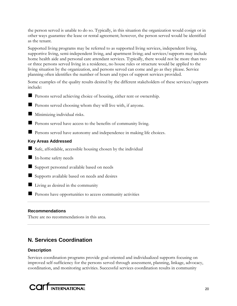the person served is unable to do so. Typically, in this situation the organization would cosign or in other ways guarantee the lease or rental agreement; however, the person served would be identified as the tenant.

Supported living programs may be referred to as supported living services, independent living, supportive living, semi-independent living, and apartment living; and services/supports may include home health aide and personal care attendant services. Typically, there would not be more than two or three persons served living in a residence, no house rules or structure would be applied to the living situation by the organization, and persons served can come and go as they please. Service planning often identifies the number of hours and types of support services provided.

Some examples of the quality results desired by the different stakeholders of these services/supports include:



Persons served choosing whom they will live with, if anyone.

**Minimizing individual risks.** 

**Persons served have access to the benefits of community living.** 

Persons served have autonomy and independence in making life choices.

# **Key Areas Addressed**

Safe, affordable, accessible housing chosen by the individual

In-home safety needs

Support personnel available based on needs

Supports available based on needs and desires

 $\blacksquare$  Living as desired in the community

**Persons have opportunities to access community activities** 

# **Recommendations**

There are no recommendations in this area.

# **N. Services Coordination**

# **Description**

Services coordination programs provide goal-oriented and individualized supports focusing on improved self-sufficiency for the persons served through assessment, planning, linkage, advocacy, coordination, and monitoring activities. Successful services coordination results in community

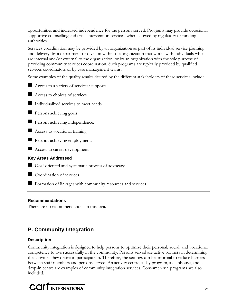opportunities and increased independence for the persons served. Programs may provide occasional supportive counselling and crisis intervention services, when allowed by regulatory or funding authorities.

Services coordination may be provided by an organization as part of its individual service planning and delivery, by a department or division within the organization that works with individuals who are internal and/or external to the organization, or by an organization with the sole purpose of providing community services coordination. Such programs are typically provided by qualified services coordinators or by case management teams.

Some examples of the quality results desired by the different stakeholders of these services include:

Access to a variety of services/supports.



Access to choices of services.

Individualized services to meet needs.

**Persons achieving goals.** 

**Persons achieving independence.** 

Access to vocational training.

**Persons achieving employment.** 

Access to career development.

# **Key Areas Addressed**

Goal-oriented and systematic process of advocacy

Coordination of services

Formation of linkages with community resources and services

# **Recommendations**

There are no recommendations in this area.

# **P. Community Integration**

# **Description**

Community integration is designed to help persons to optimize their personal, social, and vocational competency to live successfully in the community. Persons served are active partners in determining the activities they desire to participate in. Therefore, the settings can be informal to reduce barriers between staff members and persons served. An activity centre, a day program, a clubhouse, and a drop-in centre are examples of community integration services. Consumer-run programs are also included.

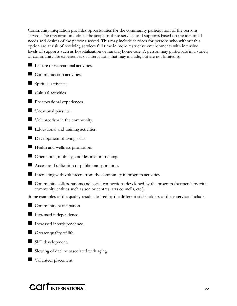Community integration provides opportunities for the community participation of the persons served. The organization defines the scope of these services and supports based on the identified needs and desires of the persons served. This may include services for persons who without this option are at risk of receiving services full time in more restrictive environments with intensive levels of supports such as hospitalization or nursing home care. A person may participate in a variety of community life experiences or interactions that may include, but are not limited to:

- Leisure or recreational activities.
- Communication activities.
- Spiritual activities.
- Cultural activities.
- **Pre-vocational experiences.**
- Vocational pursuits.
- Volunteerism in the community.
- Educational and training activities.
- Development of living skills.
- Health and wellness promotion.
- Orientation, mobility, and destination training.
- Access and utilization of public transportation.
- Interacting with volunteers from the community in program activities.
- Community collaborations and social connections developed by the program (partnerships with community entities such as senior centres, arts councils, etc.).

Some examples of the quality results desired by the different stakeholders of these services include:



- Increased independence.
- Increased interdependence.
- Greater quality of life.
- Skill development.
- Slowing of decline associated with aging.
- Volunteer placement.

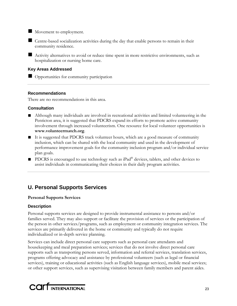Movement to employment.

 Centre-based socialization activities during the day that enable persons to remain in their community residence.

 Activity alternatives to avoid or reduce time spent in more restrictive environments, such as hospitalization or nursing home care.

# **Key Areas Addressed**

Opportunities for community participation

# **Recommendations**

There are no recommendations in this area.

# **Consultation**

- Although many individuals are involved in recreational activities and limited volunteering in the Penticton area, it is suggested that PDCRS expand its efforts to promote active community involvement through increased volunteerism. One resource for local volunteer opportunities is **www.volunteermatch.org**.
- It is suggested that PDCRS track volunteer hours, which are a good measure of community inclusion, which can be shared with the local community and used in the development of performance improvement goals for the community inclusion program and/or individual service plan goals.
- PDCRS is encouraged to use technology such as iPad<sup>®</sup> devices, tablets, and other devices to assist individuals in communicating their choices in their daily program activities.

# **U. Personal Supports Services**

# **Personal Supports Services**

# **Description**

Personal supports services are designed to provide instrumental assistance to persons and/or families served. They may also support or facilitate the provision of services or the participation of the person in other services/programs, such as employment or community integration services. The services are primarily delivered in the home or community and typically do not require individualized or in-depth service planning.

Services can include direct personal care supports such as personal care attendants and housekeeping and meal preparation services; services that do not involve direct personal care supports such as transporting persons served, information and referral services, translation services, programs offering advocacy and assistance by professional volunteers (such as legal or financial services), training or educational activities (such as English language services), mobile meal services; or other support services, such as supervising visitation between family members and parent aides.

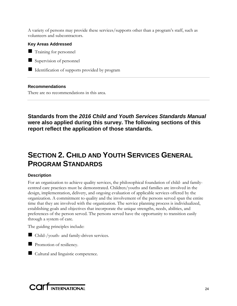A variety of persons may provide these services/supports other than a program's staff, such as volunteers and subcontractors.

# **Key Areas Addressed**

**Training for personnel** 

Supervision of personnel

Indentification of supports provided by program

# **Recommendations**

There are no recommendations in this area.

**Standards from the** *2016 Child and Youth Services Standards Manual* **were also applied during this survey. The following sections of this report reflect the application of those standards.** 

# **SECTION 2. CHILD AND YOUTH SERVICES GENERAL PROGRAM STANDARDS**

# **Description**

For an organization to achieve quality services, the philosophical foundation of child- and familycentred care practices must be demonstrated. Children/youths and families are involved in the design, implementation, delivery, and ongoing evaluation of applicable services offered by the organization. A commitment to quality and the involvement of the persons served span the entire time that they are involved with the organization. The service planning process is individualized, establishing goals and objectives that incorporate the unique strengths, needs, abilities, and preferences of the person served. The persons served have the opportunity to transition easily through a system of care.

The guiding principles include:



Child-/youth- and family-driven services.

**Promotion of resiliency.** 

Cultural and linguistic competence.

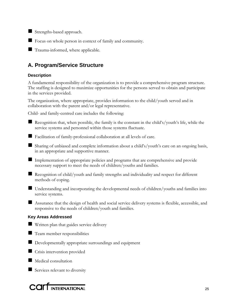Strengths-based approach.

Focus on whole person in context of family and community.

Trauma-informed, where applicable.

# **A. Program/Service Structure**

# **Description**

A fundamental responsibility of the organization is to provide a comprehensive program structure. The staffing is designed to maximize opportunities for the persons served to obtain and participate in the services provided.

The organization, where appropriate, provides information to the child/youth served and in collaboration with the parent and/or legal representative.

Child- and family-centred care includes the following:

 Recognition that, when possible, the family is the constant in the child's/youth's life, while the service systems and personnel within those systems fluctuate.

Facilitation of family-professional collaboration at all levels of care.

 Sharing of unbiased and complete information about a child's/youth's care on an ongoing basis, in an appropriate and supportive manner.

Implementation of appropriate policies and programs that are comprehensive and provide necessary support to meet the needs of children/youths and families.

 Recognition of child/youth and family strengths and individuality and respect for different methods of coping.

■ Understanding and incorporating the developmental needs of children/youths and families into service systems.

 Assurance that the design of health and social service delivery systems is flexible, accessible, and responsive to the needs of children/youth and families.

# **Key Areas Addressed**

**Written plan that guides service delivery** 

- **Team member responsibilities**
- Developmentally appropriate surroundings and equipment
- Crisis intervention provided
- Medical consultation

Services relevant to diversity

COIT INTERNATIONAL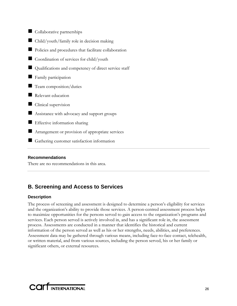| Collaborative partnerships                            |
|-------------------------------------------------------|
| Child/youth/family role in decision making            |
| Policies and procedures that facilitate collaboration |
| Coordination of services for child/youth              |
| Qualifications and competency of direct service staff |
| Family participation                                  |
| Team composition/duties                               |
| Relevant education                                    |
| Clinical supervision                                  |
| Assistance with advocacy and support groups           |
| Effective information sharing                         |
| Arrangement or provision of appropriate services      |
| Gathering customer satisfaction information           |

# **Recommendations**

There are no recommendations in this area.

# **B. Screening and Access to Services**

# **Description**

The process of screening and assessment is designed to determine a person's eligibility for services and the organization's ability to provide those services. A person-centred assessment process helps to maximize opportunities for the persons served to gain access to the organization's programs and services. Each person served is actively involved in, and has a significant role in, the assessment process. Assessments are conducted in a manner that identifies the historical and current information of the person served as well as his or her strengths, needs, abilities, and preferences. Assessment data may be gathered through various means, including face-to-face contact, telehealth, or written material, and from various sources, including the person served, his or her family or significant others, or external resources.

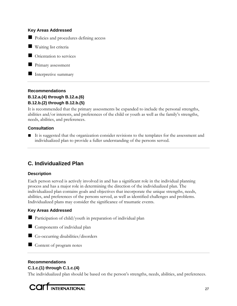#### **Key Areas Addressed**

Policies and procedures defining access

**Waiting list criteria** 

**Orientation** to services

**Primary assessment** 

Interpretive summary

# **Recommendations B.12.a.(4) through B.12.a.(6) B.12.b.(2) through B.12.b.(5)**

It is recommended that the primary assessments be expanded to include the personal strengths, abilities and/or interests, and preferences of the child or youth as well as the family's strengths, needs, abilities, and preferences.

# **Consultation**

■ It is suggested that the organization consider revisions to the templates for the assessment and individualized plan to provide a fuller understanding of the persons served.

# **C. Individualized Plan**

# **Description**

Each person served is actively involved in and has a significant role in the individual planning process and has a major role in determining the direction of the individualized plan. The individualized plan contains goals and objectives that incorporate the unique strengths, needs, abilities, and preferences of the persons served, as well as identified challenges and problems. Individualized plans may consider the significance of traumatic events.

# **Key Areas Addressed**

- Participation of child/youth in preparation of individual plan
- Components of individual plan



Content of program notes

# **Recommendations**

# **C.1.c.(1) through C.1.c.(4)**

The individualized plan should be based on the person's strengths, needs, abilities, and preferences.

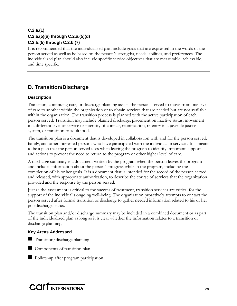# **C.2.a.(1) C.2.a.(5)(a) through C.2.a.(5)(d) C.2.b.(5) through C.2.b.(7)**

It is recommended that the individualized plan include goals that are expressed in the words of the person served as well as be based on the person's strengths, needs, abilities, and preferences. The individualized plan should also include specific service objectives that are measurable, achievable, and time specific.

# **D. Transition/Discharge**

# **Description**

Transition, continuing care, or discharge planning assists the persons served to move from one level of care to another within the organization or to obtain services that are needed but are not available within the organization. The transition process is planned with the active participation of each person served. Transition may include planned discharge, placement on inactive status, movement to a different level of service or intensity of contact, reunification, re-entry in a juvenile justice system, or transition to adulthood.

The transition plan is a document that is developed in collaboration with and for the person served, family, and other interested persons who have participated with the individual in services. It is meant to be a plan that the person served uses when leaving the program to identify important supports and actions to prevent the need to return to the program or other higher level of care.

A discharge summary is a document written by the program when the person leaves the program and includes information about the person's progress while in the program, including the completion of his or her goals. It is a document that is intended for the record of the person served and released, with appropriate authorization, to describe the course of services that the organization provided and the response by the person served.

Just as the assessment is critical to the success of treatment, transition services are critical for the support of the individual's ongoing well-being. The organization proactively attempts to contact the person served after formal transition or discharge to gather needed information related to his or her postdischarge status.

The transition plan and/or discharge summary may be included in a combined document or as part of the individualized plan as long as it is clear whether the information relates to a transition or discharge planning.

# **Key Areas Addressed**

- **Transition/discharge planning**
- Components of transition plan
- Follow-up after program participation

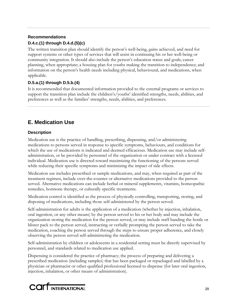# **Recommendations D.4.c.(1) through D.4.d.(5)(c)**

The written transition plan should identify the person's well-being, gains achieved, and need for support systems or other types of services that will assist in continuing his or her well-being or community integration. It should also include the person's education status and goals; career planning, when appropriate; a housing plan for youths making the transition to independence; and information on the person's health needs including physical, behavioural, and medications, when applicable.

# **D.5.a.(1) through D.5.b.(4)**

It is recommended that documented information provided to the external programs or services to support the transition plan include the children's/youths' identified strengths, needs, abilities, and preferences as well as the families' strengths, needs, abilities, and preferences.

# **E. Medication Use**

# **Description**

Medication use is the practice of handling, prescribing, dispensing, and/or administering medications to persons served in response to specific symptoms, behaviours, and conditions for which the use of medications is indicated and deemed efficacious. Medication use may include selfadministration, or be provided by personnel of the organization or under contract with a licensed individual. Medication use is directed toward maximizing the functioning of the persons served while reducing their specific symptoms and minimizing the impact of side effects.

Medication use includes prescribed or sample medications, and may, when required as part of the treatment regimen, include over-the-counter or alternative medications provided to the person served. Alternative medications can include herbal or mineral supplements, vitamins, homeopathic remedies, hormone therapy, or culturally specific treatments.

Medication control is identified as the process of physically controlling, transporting, storing, and disposing of medications, including those self-administered by the person served.

Self-administration for adults is the application of a medication (whether by injection, inhalation, oral ingestion, or any other means) by the person served to his or her body and may include the organization storing the medication for the person served, or may include staff handing the bottle or blister pack to the person served, instructing or verbally prompting the person served to take the medication, coaching the person served through the steps to ensure proper adherence, and closely observing the person served self-administering the medication.

Self-administration by children or adolescents in a residential setting must be directly supervised by personnel, and standards related to medication use applied.

Dispensing is considered the practice of pharmacy; the process of preparing and delivering a prescribed medication (including samples) that has been packaged or repackaged and labelled by a physician or pharmacist or other qualified professional licensed to dispense (for later oral ingestion, injection, inhalation, or other means of administration).

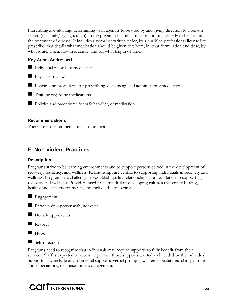Prescribing is evaluating, determining what agent is to be used by and giving direction to a person served (or family/legal guardian), in the preparation and administration of a remedy to be used in the treatment of disease. It includes a verbal or written order, by a qualified professional licensed to prescribe, that details what medication should be given to whom, in what formulation and dose, by what route, when, how frequently, and for what length of time.

# **Key Areas Addressed**

- Individual records of medication
- **Physician review**
- Policies and procedures for prescribing, dispensing, and administering medications
- **Training regarding medications**
- **Policies and procedures for safe handling of medication**

# **Recommendations**

There are no recommendations in this area.

# **F. Non-violent Practices**

# **Description**

Programs strive to be learning environments and to support persons served in the development of recovery, resiliency, and wellness. Relationships are central to supporting individuals in recovery and wellness. Programs are challenged to establish quality relationships as a foundation to supporting recovery and wellness. Providers need to be mindful of developing cultures that create healing, healthy and safe environments, and include the following:



Partnership—power with, not over



Holistic approaches



**Hope** 



Programs need to recognize that individuals may require supports to fully benefit from their services. Staff is expected to access or provide those supports wanted and needed by the individual. Supports may include environmental supports, verbal prompts, written expectations, clarity of rules and expectations, or praise and encouragement.

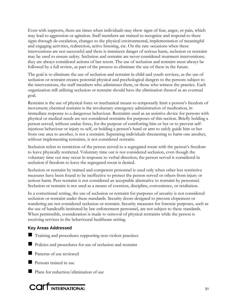Even with supports, there are times when individuals may show signs of fear, anger, or pain, which may lead to aggression or agitation. Staff members are trained to recognize and respond to these signs through de-escalation, changes to the physical environmental, implementation of meaningful and engaging activities, redirection, active listening, etc. On the rare occasions when these interventions are not successful and there is imminent danger of serious harm, seclusion or restraint may be used to ensure safety. Seclusion and restraint are never considered treatment interventions; they are always considered actions of last resort. The use of seclusion and restraint must always be followed by a full review, as part of the process to eliminate the use of these in the future.

The goal is to eliminate the use of seclusion and restraint in child and youth services, as the use of seclusion or restraint creates potential physical and psychological dangers to the persons subject to the interventions, the staff members who administer them, or those who witness the practice. Each organization still utilizing seclusion or restraint should have the elimination thereof as an eventual goal.

Restraint is the use of physical force or mechanical means to temporarily limit a person's freedom of movement; chemical restraint is the involuntary emergency administration of medication, in immediate response to a dangerous behaviour. Restraints used as an assistive device for persons with physical or medical needs are not considered restraints for purposes of this section. Briefly holding a person served, without undue force, for the purpose of comforting him or her or to prevent selfinjurious behaviour or injury to self, or holding a person's hand or arm to safely guide him or her from one area to another, is not a restraint. Separating individuals threatening to harm one another, without implementing restraints, is not considered restraint.

Seclusion refers to restriction of the person served to a segregated room with the person's freedom to leave physically restricted. Voluntary time out is not considered seclusion, even though the voluntary time out may occur in response to verbal direction; the person served is considered in seclusion if freedom to leave the segregated room is denied.

Seclusion or restraint by trained and competent personnel is used only when other less restrictive measures have been found to be ineffective to protect the person served or others from injury or serious harm. Peer restraint is not considered an acceptable alternative to restraint by personnel. Seclusion or restraint is not used as a means of coercion, discipline, convenience, or retaliation.

In a correctional setting, the use of seclusion or restraint for purposes of security is not considered seclusion or restraint under these standards. Security doors designed to prevent elopement or wandering are not considered seclusion or restraint. Security measures for forensic purposes, such as the use of handcuffs instituted by law enforcement personnel, are not subject to these standards. When permissible, consideration is made to removal of physical restraints while the person is receiving services in the behavioural healthcare setting.

# **Key Areas Addressed**

- Training and procedures supporting non-violent practices
- Policies and procedures for use of seclusion and restraint
- **Patterns of use reviewed**
- **Persons trained in use**
- **Plans** for reduction/elimination of use

# COLL INTERNATIONAL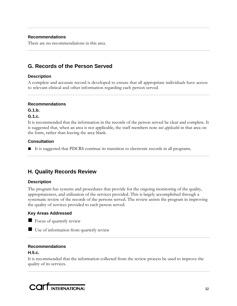# **Recommendations**

There are no recommendations in this area.

# **G. Records of the Person Served**

# **Description**

A complete and accurate record is developed to ensure that all appropriate individuals have access to relevant clinical and other information regarding each person served.

# **Recommendations**

**G.1.b.** 

# **G.1.c.**

It is recommended that the information in the records of the person served be clear and complete. It is suggested that, when an area is not applicable, the staff members note *not applicable* in that area on the form, rather than leaving the area blank.

# **Consultation**

■ It is suggested that PDCRS continue its transition to electronic records in all programs.

# **H. Quality Records Review**

# **Description**

The program has systems and procedures that provide for the ongoing monitoring of the quality, appropriateness, and utilization of the services provided. This is largely accomplished through a systematic review of the records of the persons served. The review assists the program in improving the quality of services provided to each person served.

# **Key Areas Addressed**



Use of information from quarterly review

# **Recommendations**

# **H.5.c.**

It is recommended that the information collected from the review process be used to improve the quality of its services.

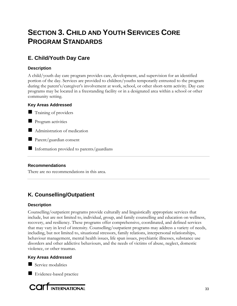# **SECTION 3. CHILD AND YOUTH SERVICES CORE PROGRAM STANDARDS**

# **E. Child/Youth Day Care**

# **Description**

A child/youth day care program provides care, development, and supervision for an identified portion of the day. Services are provided to children/youths temporarily entrusted to the program during the parent's/caregiver's involvement at work, school, or other short-term activity. Day care programs may be located in a freestanding facility or in a designated area within a school or other community setting.

# **Key Areas Addressed**

Training of providers

**Program activities** 

Administration of medication

■ Parent/guardian consent

Information provided to parents/guardians

# **Recommendations**

There are no recommendations in this area.

# **K. Counselling/Outpatient**

# **Description**

Counselling/outpatient programs provide culturally and linguistically appropriate services that include, but are not limited to, individual, group, and family counselling and education on wellness, recovery, and resiliency. These programs offer comprehensive, coordinated, and defined services that may vary in level of intensity. Counselling/outpatient programs may address a variety of needs, including, but not limited to, situational stressors, family relations, interpersonal relationships, behaviour management, mental health issues, life span issues, psychiatric illnesses, substance use disorders and other addictive behaviours, and the needs of victims of abuse, neglect, domestic violence, or other traumas.

# **Key Areas Addressed**

Service modalities

Evidence-based practice

**COLL**INTERNATIONAL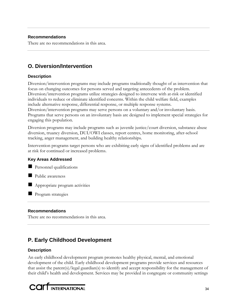# **Recommendations**

There are no recommendations in this area.

# **O. Diversion/Intervention**

# **Description**

Diversion/intervention programs may include programs traditionally thought of as intervention that focus on changing outcomes for persons served and targeting antecedents of the problem. Diversion/intervention programs utilize strategies designed to intervene with at-risk or identified individuals to reduce or eliminate identified concerns. Within the child welfare field, examples include alternative response, differential response, or multiple response systems. Diversion/intervention programs may serve persons on a voluntary and/or involuntary basis. Programs that serve persons on an involuntary basis are designed to implement special strategies for engaging this population.

Diversion programs may include programs such as juvenile justice/court diversion, substance abuse diversion, truancy diversion, DUI/OWI classes, report centres, home monitoring, after-school tracking, anger management, and building healthy relationships.

Intervention programs target persons who are exhibiting early signs of identified problems and are at risk for continued or increased problems.

# **Key Areas Addressed**



Public awareness

Appropriate program activities

**Program strategies** 

# **Recommendations**

There are no recommendations in this area.

# **P. Early Childhood Development**

# **Description**

An early childhood development program promotes healthy physical, mental, and emotional development of the child. Early childhood development programs provide services and resources that assist the parent(s)/legal guardian(s) to identify and accept responsibility for the management of their child's health and development. Services may be provided in congregate or community settings

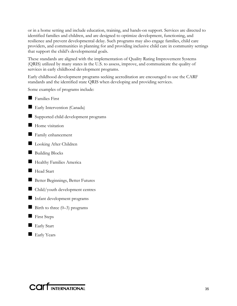or in a home setting and include education, training, and hands-on support. Services are directed to identified families and children, and are designed to optimize development, functioning, and resilience and prevent developmental delay. Such programs may also engage families, child care providers, and communities in planning for and providing inclusive child care in community settings that support the child's developmental goals.

These standards are aligned with the implementation of Quality Rating Improvement Systems (QRIS) utilized by many states in the U.S. to assess, improve, and communicate the quality of services in early childhood development programs.

Early childhood development programs seeking accreditation are encouraged to use the CARF standards and the identified state QRIS when developing and providing services.

Some examples of programs include:

**Families First** Early Intervention (Canada) Supported child development programs  $\blacksquare$  Home visitation **Family enhancement Looking After Children** Building Blocks **Healthy Families America** Head Start Better Beginnings, Better Futures Child/youth development centres Infant development programs Birth to three  $(0-3)$  programs First Steps **Early Start Early Years** 

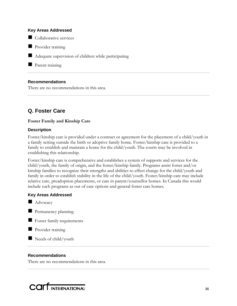#### **Key Areas Addressed**

Collaborative services

**Provider training** 

Adequate supervision of children while participating

**Parent training** 

# **Recommendations**

There are no recommendations in this area.

# **Q. Foster Care**

#### **Foster Family and Kinship Care**

#### **Description**

Foster/kinship care is provided under a contract or agreement for the placement of a child/youth in a family setting outside the birth or adoptive family home. Foster/kinship care is provided to a family to establish and maintain a home for the child/youth. The courts may be involved in establishing this relationship.

Foster/kinship care is comprehensive and establishes a system of supports and services for the child/youth, the family of origin, and the foster/kinship family. Programs assist foster and/or kinship families to recognize their strengths and abilities to effect change for the child/youth and family in order to establish stability in the life of the child/youth. Foster/kinship care may include relative care, preadoption placements, or care in parent/counsellor homes. In Canada this would include such programs as out of care options and general foster care homes.

#### **Key Areas Addressed**

**Advocacy** 



- **Foster family requirements**
- **Provider training**
- $\blacksquare$  Needs of child/youth

#### **Recommendations**

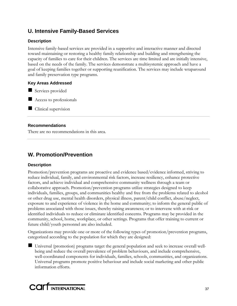# **U. Intensive Family-Based Services**

# **Description**

Intensive family-based services are provided in a supportive and interactive manner and directed toward maintaining or restoring a healthy family relationship and building and strengthening the capacity of families to care for their children. The services are time limited and are initially intensive, based on the needs of the family. The services demonstrate a multisystemic approach and have a goal of keeping families together or supporting reunification. The services may include wraparound and family preservation type programs.

# **Key Areas Addressed**

Services provided

Access to professionals

 $\Box$  Clinical supervision

# **Recommendations**

There are no recommendations in this area.

# **W. Promotion/Prevention**

# **Description**

Promotion/prevention programs are proactive and evidence based/evidence informed, striving to reduce individual, family, and environmental risk factors, increase resiliency, enhance protective factors, and achieve individual and comprehensive community wellness through a team or collaborative approach. Promotion/prevention programs utilize strategies designed to keep individuals, families, groups, and communities healthy and free from the problems related to alcohol or other drug use, mental health disorders, physical illness, parent/child conflict, abuse/neglect, exposure to and experience of violence in the home and community; to inform the general public of problems associated with those issues, thereby raising awareness; or to intervene with at-risk or identified individuals to reduce or eliminate identified concerns. Programs may be provided in the community, school, home, workplace, or other settings. Programs that offer training to current or future child/youth personnel are also included.

Organizations may provide one or more of the following types of promotion/prevention programs, categorized according to the population for which they are designed:

 Universal (promotion) programs target the general population and seek to increase overall wellbeing and reduce the overall prevalence of problem behaviours, and include comprehensive, well-coordinated components for individuals, families, schools, communities, and organizations. Universal programs promote positive behaviour and include social marketing and other public information efforts.

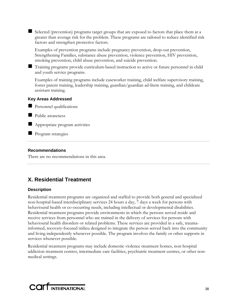Selected (prevention) programs target groups that are exposed to factors that place them at a greater than average risk for the problem. These programs are tailored to reduce identified risk factors and strengthen protective factors.

Examples of prevention programs include pregnancy prevention, drop-out prevention, Strengthening Families, substance abuse prevention, violence prevention, HIV prevention, smoking prevention, child abuse prevention, and suicide prevention.

 Training programs provide curriculum-based instruction to active or future personnel in child and youth service programs.

Examples of training programs include caseworker training, child welfare supervisory training, foster parent training, leadership training, guardian/guardian ad-litem training, and childcare assistant training.

# **Key Areas Addressed**

**Personnel qualifications** 

**Public awareness** 

**Appropriate program activities** 

**Program strategies** 

#### **Recommendations**

There are no recommendations in this area.

# **X. Residential Treatment**

# **Description**

Residential treatment programs are organized and staffed to provide both general and specialized non-hospital-based interdisciplinary services 24 hours a day, 7 days a week for persons with behavioural health or co-occurring needs, including intellectual or developmental disabilities. Residential treatment programs provide environments in which the persons served reside and receive services from personnel who are trained in the delivery of services for persons with behavioural health disorders or related problems. These services are provided in a safe, traumainformed, recovery-focused milieu designed to integrate the person served back into the community and living independently whenever possible. The program involves the family or other supports in services whenever possible.

Residential treatment programs may include domestic violence treatment homes, non-hospital addiction treatment centres, intermediate care facilities, psychiatric treatment centres, or other nonmedical settings.

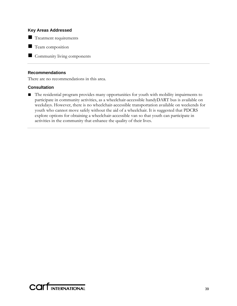#### **Key Areas Addressed**

Treatment requirements

**T** Team composition

Community living components

#### **Recommendations**

There are no recommendations in this area.

#### **Consultation**

■ The residential program provides many opportunities for youth with mobility impairments to participate in community activities, as a wheelchair-accessible handyDART bus is available on weekdays. However, there is no wheelchair-accessible transportation available on weekends for youth who cannot move safely without the aid of a wheelchair. It is suggested that PDCRS explore options for obtaining a wheelchair-accessible van so that youth can participate in activities in the community that enhance the quality of their lives.

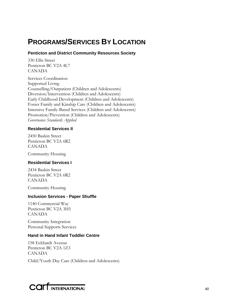# **PROGRAMS/SERVICES BY LOCATION**

# **Penticton and District Community Resources Society**

330 Ellis Street Penticton BC V2A 4L7 CANADA

Services Coordination Supported Living Counselling/Outpatient (Children and Adolescents) Diversion/Intervention (Children and Adolescents) Early Childhood Development (Children and Adolescents) Foster Family and Kinship Care (Children and Adolescents) Intensive Family-Based Services (Children and Adolescents) Promotion/Prevention (Children and Adolescents) *Governance Standards Applied*

# **Residential Services II**

2450 Baskin Street Penticton BC V2A 6R2 CANADA

Community Housing

# **Residential Services I**

2434 Baskin Street Penticton BC V2A 6R2 CANADA

Community Housing

# **Inclusion Services - Paper Shuffle**

1140 Commercial Way Penticton BC V2A 3H5 CANADA

Community Integration Personal Supports Services

# **Hand in Hand Infant Toddler Centre**

158 Eckhardt Avenue Penticton BC V2A 1Z3 CANADA

Child/Youth Day Care (Children and Adolescents)

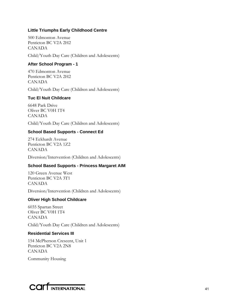# **Little Triumphs Early Childhood Centre**

500 Edmonton Avenue Penticton BC V2A 2H2 CANADA

Child/Youth Day Care (Children and Adolescents)

# **After School Program - 1**

470 Edmonton Avenue Penticton BC V2A 2H2 CANADA

Child/Youth Day Care (Children and Adolescents)

# **Tuc El Nuit Childcare**

6648 Park Drive Oliver BC V0H 1T4 CANADA

Child/Youth Day Care (Children and Adolescents)

# **School Based Supports - Connect Ed**

274 Eckhardt Avenue Penticton BC V2A 1Z2 CANADA

Diversion/Intervention (Children and Adolescents)

# **School Based Supports - Princess Margaret AIM**

120 Green Avenue West Penticton BC V2A 3T1 CANADA

Diversion/Intervention (Children and Adolescents)

# **Oliver High School Childcare**

6035 Spartan Street Oliver BC V0H 1T4 CANADA

Child/Youth Day Care (Children and Adolescents)

#### **Residential Services III**

154 McPherson Crescent, Unit 1 Penticton BC V2A 2N8 CANADA

Community Housing